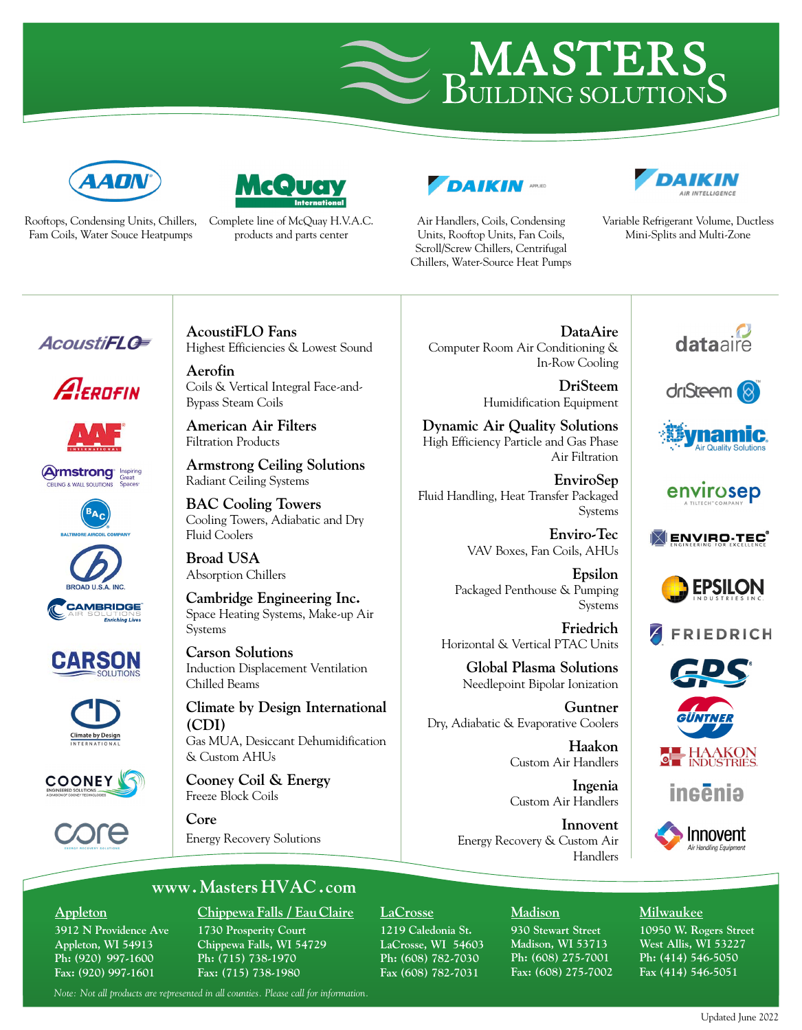



[Complete line of McQuay H.V.A](http://www.mcquay.com.hk/).C. Rooftops, Condensing Units, Chillers, Fam Coils, Water Souce Heatpumps

**GOU** 

products and parts center



Air Handlers, Coils, Condensing Units, Rooftop Units, Fan Coils, Scroll/Screw Chillers, Centrifugal Chillers, Water-Source Heat Pumps



Variable Refrigerant Volume, Ductless Mini-Splits and Multi-Zone

# **AcoustiFLG**





**Armstrong** Inspiring











**AcoustiFLO Fans** Highest Efficiencies & Lowest Sound

**Aerofin** Coils & Vertical Integral Face-and-Bypass Steam Coils

**American Air Filters** Filtration Products

**Armstrong Ceiling Solutions** Radiant Ceiling Systems

**BAC Cooling Towers** Cooling Towers, Adiabatic and Dry Fluid Coolers

**Broad USA** Absorption Chillers

**Cambridge Engineering Inc.** Space Heating Systems, Make-up Air Systems

**Carson Solutions** Induction Displacement Ventilation Chilled Beams

**Climate by Design International (CDI)** Gas MUA, Desiccant Dehumidification & Custom AHUs

**Cooney Coil & Energy** Freeze Block Coils

**Core** Energy Recovery Solutions

**DataAire** Computer Room Air Conditioning & In-Row Cooling

> **DriSteem** Humidification Equipment

**Dynamic Air Quality Solutions** High Efficiency Particle and Gas Phase Air Filtration

**EnviroSep** Fluid Handling, Heat Transfer Packaged Systems

> **Enviro-Tec** VAV Boxes, Fan Coils, AHUs

**Epsilon** Packaged Penthouse & Pumping Systems

**Friedrich** Horizontal & Vertical PTAC Units

**Global Plasma Solutions**

Needlepoint Bipolar Ionization

**Guntner** Dry, Adiabatic & Evaporative Coolers

> **Haakon** Custom Air Handlers

**Ingenia**  Custom Air Handlers

**Innovent** Energy Recovery & Custom Air Handlers

















ineēnia



## **www. [Masters](http://www.MastersHVAC.com) HVAC .com**

#### **Appleton**

**3912 N Providence Ave Appleton, WI 54913 Ph: (920) 997-1600 Fax: (920) 997-1601**

## **Chippewa Falls / EauClaire 1730 Prosperity Court**

**Chippewa Falls, WI 54729 Ph: (715) 738-1970 Fax: (715) 738-1980**

#### **LaCrosse**

**1219 Caledonia St. LaCrosse, WI 54603 Ph: (608) 782-7030 Fax (608) 782-7031** 

# **Madison**

**930 Stewart Street Madison, WI 53713 Ph: (608) 275-7001 Fax: (608) 275-7002** **Milwaukee**

**10950 W. Rogers Street West Allis, WI 53227 Ph: (414) 546-5050 Fax (414) 546-5051**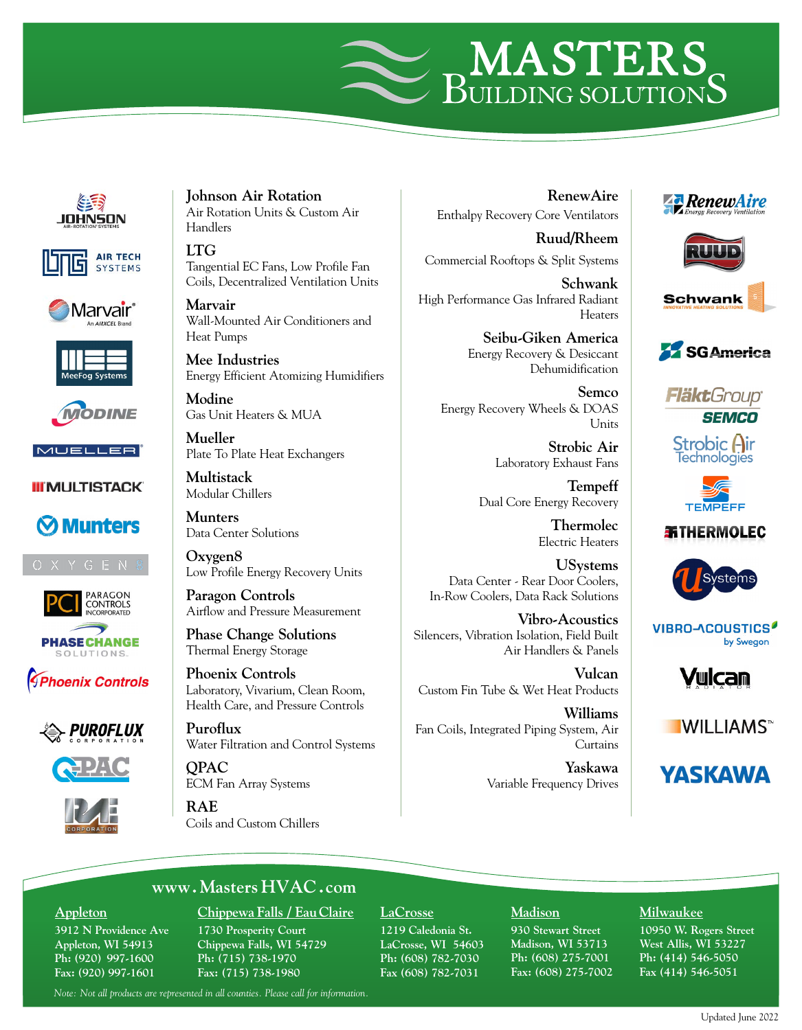













### **III MULTISTACK**











**Johnson Air Rotation** Air Rotation Units & Custom Air Handlers

**LTG** Tangential EC Fans, Low Profile Fan Coils, Decentralized Ventilation Units

**Marvair** Wall-Mounted Air Conditioners and Heat Pumps

**Mee Industries** Energy Efficient Atomizing Humidifiers

**Modine** Gas Unit Heaters & MUA

**Mueller** Plate To Plate Heat Exchangers

**Multistack** Modular Chillers

**Munters** Data Center Solutions

**Oxygen8** Low Profile Energy Recovery Units

**Paragon Controls** Airflow and Pressure Measurement

**Phase Change Solutions** Thermal Energy Storage

**Phoenix Controls** Laboratory, Vivarium, Clean Room, Health Care, and Pressure Controls

**Puroflux** Water Filtration and Control Systems

**QPAC** ECM Fan Array Systems

**RAE** Coils and Custom Chillers

**RenewAire** Enthalpy Recovery Core Ventilators

**Ruud/Rheem** Commercial Rooftops & Split Systems

**Schwank** High Performance Gas Infrared Radiant Heaters

> **Seibu-Giken America** Energy Recovery & Desiccant Dehumidification

**Semco** Energy Recovery Wheels & DOAS Units

> **Strobic Air** Laboratory Exhaust Fans

**Tempeff** Dual Core Energy Recovery

> **Thermolec** Electric Heaters

**USystems** Data Center - Rear Door Coolers, In-Row Coolers, Data Rack Solutions

**Vibro-Acoustics** Silencers, Vibration Isolation, Field Built Air Handlers & Panels

**Vulcan** Custom Fin Tube & Wet Heat Products

**Williams** Fan Coils, Integrated Piping System, Air Curtains

> **Yaskawa** Variable Frequency Drives







**Fläkt**Group® **SEMCO** 

**Strobic Air**<br>Technologies



**新THERMOLEC** 



**VIBRO-ACOUSTICS** by Swegon



**WILLIAMS**™



# **www. [Masters](http://www.MastersHVAC.com) HVAC .com**

#### **Appleton**

**3912 N Providence Ave Appleton, WI 54913 Ph: (920) 997-1600 Fax: (920) 997-1601**

### **Chippewa Falls / EauClaire 1730 Prosperity Court**

**Chippewa Falls, WI 54729 Ph: (715) 738-1970 Fax: (715) 738-1980**

#### **LaCrosse**

**1219 Caledonia St. LaCrosse, WI 54603 Ph: (608) 782-7030 Fax (608) 782-7031** 

#### **Madison**

**930 Stewart Street Madison, WI 53713 Ph: (608) 275-7001 Fax: (608) 275-7002**

#### **Milwaukee**

**10950 W. Rogers Street West Allis, WI 53227 Ph: (414) 546-5050 Fax (414) 546-5051**

*Note: Not all products are represented in all counties. Please call for information.*